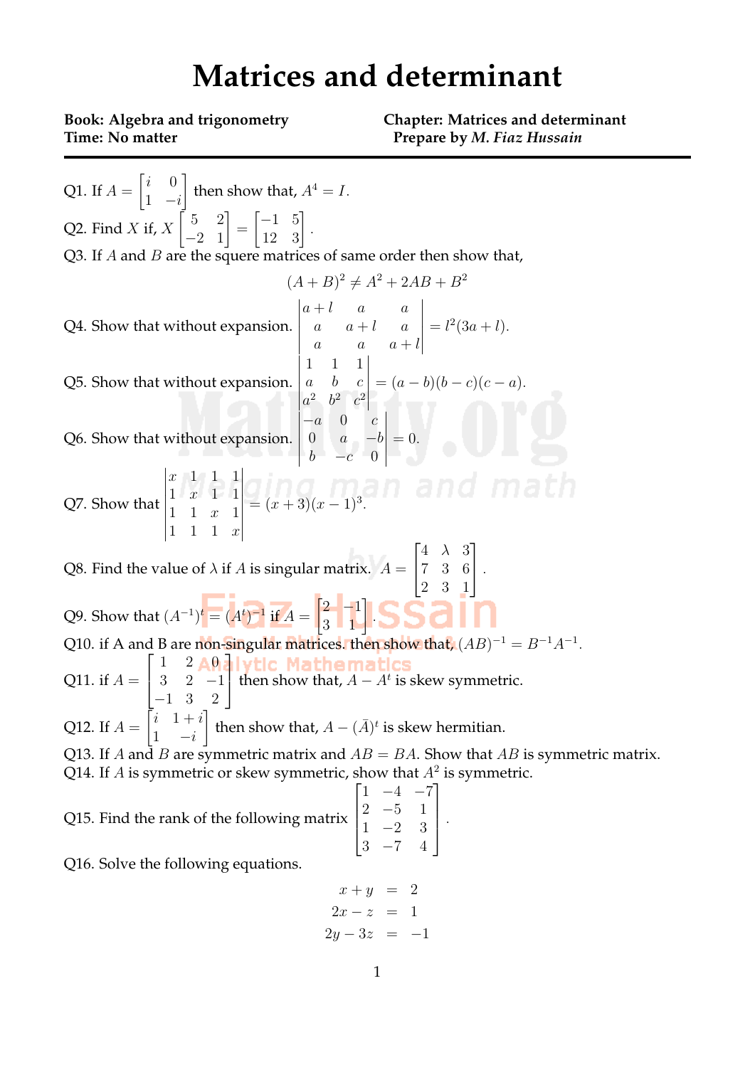## **Matrices and determinant**

**Time:** No matter *Prepare by M. Fiaz Hussain* 

**Book: Algebra and trigonometry Chapter: Matrices and determinant**

Q1. If  $A =$  $\begin{bmatrix} i & 0 \\ 0 & 0 \\ 0 & 0 \\ 0 & 0 \\ 0 & 0 \\ 0 & 0 & 0 \\ 0 & 0 & 0 \\ 0 & 0 & 0 \\ 0 & 0 & 0 & 0 \\ 0 & 0 & 0 & 0 \\ 0 & 0 & 0 & 0 \\ 0 & 0 & 0 & 0 & 0 \\ 0 & 0 & 0 & 0 & 0 \\ 0 & 0 & 0 & 0 & 0 & 0 \\ 0 & 0 & 0 & 0 & 0 & 0 \\ 0 & 0 & 0 & 0 & 0 & 0 \\ 0 & 0 & 0 & 0 & 0 & 0 & 0 \\ 0 & 0 & 0 & 0 & 0 & 0$ 1 *−i* ] then show that,  $A^4 = I$ . Q2. Find *X* if, *X*  $\begin{bmatrix} 5 & 2 \\ -2 & 1 \end{bmatrix}$ =  $\begin{bmatrix} -1 & 5 \\ 12 & 3 \end{bmatrix}$ . Q3. If *A* and *B* are the squere matrices of same order then show that,  $(A + B)^2 \neq A^2 + 2AB + B^2$ Q4. Show that without expansion.  $\begin{vmatrix} a & a & a + l \end{vmatrix}$  $a + l$  *a a*  $a = a + l$  a  $a \qquad a + l$   $=$   $l^2(3a + l).$ Q5. Show that without expansion.  $\begin{array}{c} \begin{array}{c} \begin{array}{c} \begin{array}{c} \end{array} \end{array} \end{array} \end{array}$ 1 1 1 *a b c*  $a^2$   $b^2$   $c^2$  $\begin{array}{c} \hline \rule{0pt}{2.2ex} \\ \rule{0pt}{2.2ex} \end{array}$  $=(a - b)(b - c)(c - a).$ Q6. Show that without expansion.  $\begin{array}{c} \begin{array}{c} \begin{array}{c} \begin{array}{c} \end{array} \\ \end{array} \end{array} \end{array}$ *−a* 0 *c* 0 *a −b b −c* 0  $\begin{array}{c} \begin{array}{c} \begin{array}{c} \end{array} \\ \begin{array}{c} \end{array} \end{array} \end{array}$ = 0*.* Q7. Show that  $\begin{vmatrix} 1 & 1 & 1 & x \end{vmatrix}$ *x* 1 1 1 1 *x* 1 1 1 1 *x* 1 1 1 1 *x*  $=(x+3)(x-1)^3$ . Q8. Find the value of  $\lambda$  if  $A$  is singular matrix.  $A=$  $\sqrt{ }$  $\overline{\phantom{a}}$ 4 *λ* 3 7 3 6 2 3 1 1 *.* Q9. Show that  $(A^{-1})^t = (A^t)^{-1}$  if  $A =$  $\begin{bmatrix} 2 & -1 \\ 3 & 1 \end{bmatrix}$ . Q10. if A and B are non-singular matrices. then show that,  $(AB)^{-1} = B^{-1}A^{-1}$ . Q11. if  $A =$  $\sqrt{ }$  $\overline{\phantom{a}}$  $1 \quad 2 \quad 0$ 3 2 *−*1 *−*1 3 2 ı then show that,  $A - A^t$  is skew symmetric. Q12. If  $A =$  $\begin{bmatrix} i & 1+i \end{bmatrix}$ 1 *−i* then show that,  $A - (\bar{A})^t$  is skew hermitian. Q13. If *A* and *B* are symmetric matrix and *AB* = *BA*. Show that *AB* is symmetric matrix. Q14. If *A* is symmetric or skew symmetric, show that  $A^2$  is symmetric. Q15. Find the rank of the following matrix  $\sqrt{ }$  $\begin{matrix} \phantom{-} \end{matrix}$ 1 *−*4 *−*7 2 *−*5 1 1 *−*2 3 3 *−*7 4 T  $\begin{matrix} \phantom{-} \end{matrix}$ *.* Q16. Solve the following equations.

$$
x + y = 2
$$
  

$$
2x - z = 1
$$
  

$$
2y - 3z = -1
$$